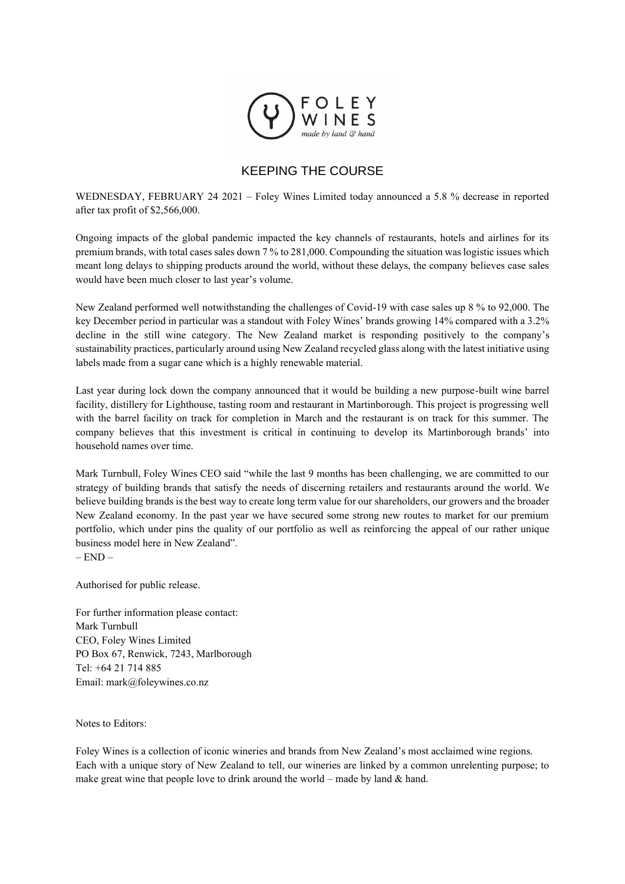

## KEEPING THE COURSE

WEDNESDAY, FEBRUARY 24 2021 – Foley Wines Limited today announced a 5.8 % decrease in reported after tax profit of \$2,566,000.

Ongoing impacts of the global pandemic impacted the key channels of restaurants, hotels and airlines for its premium brands, with total cases sales down 7 % to 281,000. Compounding the situation was logistic issues which meant long delays to shipping products around the world, without these delays, the company believes case sales would have been much closer to last year's volume.

New Zealand performed well notwithstanding the challenges of Covid-19 with case sales up 8 % to 92,000. The key December period in particular was a standout with Foley Wines' brands growing 14% compared with a 3.2% decline in the still wine category. The New Zealand market is responding positively to the company's sustainability practices, particularly around using New Zealand recycled glass along with the latest initiative using labels made from a sugar cane which is a highly renewable material.

Last year during lock down the company announced that it would be building a new purpose-built wine barrel facility, distillery for Lighthouse, tasting room and restaurant in Martinborough. This project is progressing well with the barrel facility on track for completion in March and the restaurant is on track for this summer. The company believes that this investment is critical in continuing to develop its Martinborough brands' into household names over time.

Mark Turnbull, Foley Wines CEO said "while the last 9 months has been challenging, we are committed to our strategy of building brands that satisfy the needs of discerning retailers and restaurants around the world. We believe building brands is the best way to create long term value for our shareholders, our growers and the broader New Zealand economy. In the past year we have secured some strong new routes to market for our premium portfolio, which under pins the quality of our portfolio as well as reinforcing the appeal of our rather unique business model here in New Zealand".  $-$  END  $-$ 

Authorised for public release.

For further information please contact: Mark Turnbull CEO, Foley Wines Limited PO Box 67, Renwick, 7243, Marlborough Tel: +64 21 714 885 Email: mark@foleywines.co.nz

Notes to Editors:

Foley Wines is a collection of iconic wineries and brands from New Zealand's most acclaimed wine regions. Each with a unique story of New Zealand to tell, our wineries are linked by a common unrelenting purpose; to make great wine that people love to drink around the world – made by land  $\&$  hand.